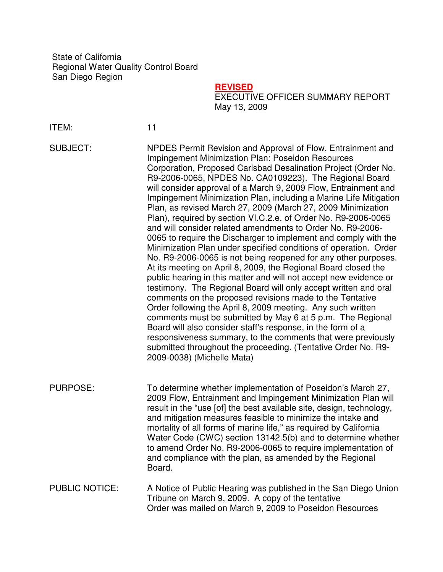State of California Regional Water Quality Control Board San Diego Region

## **REVISED**

EXECUTIVE OFFICER SUMMARY REPORT May 13, 2009

ITEM: 11

SUBJECT: NPDES Permit Revision and Approval of Flow, Entrainment and Impingement Minimization Plan: Poseidon Resources Corporation, Proposed Carlsbad Desalination Project (Order No. R9-2006-0065, NPDES No. CA0109223). The Regional Board will consider approval of a March 9, 2009 Flow, Entrainment and Impingement Minimization Plan, including a Marine Life Mitigation Plan, as revised March 27, 2009 (March 27, 2009 Minimization Plan), required by section VI.C.2.e. of Order No. R9-2006-0065 and will consider related amendments to Order No. R9-2006- 0065 to require the Discharger to implement and comply with the Minimization Plan under specified conditions of operation. Order No. R9-2006-0065 is not being reopened for any other purposes. At its meeting on April 8, 2009, the Regional Board closed the public hearing in this matter and will not accept new evidence or testimony. The Regional Board will only accept written and oral comments on the proposed revisions made to the Tentative Order following the April 8, 2009 meeting. Any such written comments must be submitted by May 6 at 5 p.m. The Regional Board will also consider staff's response, in the form of a responsiveness summary, to the comments that were previously submitted throughout the proceeding. (Tentative Order No. R9- 2009-0038) (Michelle Mata)

PURPOSE: To determine whether implementation of Poseidon's March 27, 2009 Flow, Entrainment and Impingement Minimization Plan will result in the "use [of] the best available site, design, technology, and mitigation measures feasible to minimize the intake and mortality of all forms of marine life," as required by California Water Code (CWC) section 13142.5(b) and to determine whether to amend Order No. R9-2006-0065 to require implementation of and compliance with the plan, as amended by the Regional Board.

PUBLIC NOTICE: A Notice of Public Hearing was published in the San Diego Union Tribune on March 9, 2009. A copy of the tentative Order was mailed on March 9, 2009 to Poseidon Resources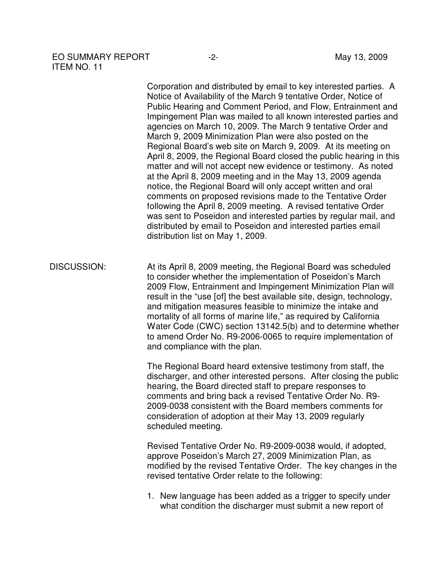## EO SUMMARY REPORT -2-<br>
May 13, 2009 ITEM NO. 11

Corporation and distributed by email to key interested parties. A Notice of Availability of the March 9 tentative Order, Notice of Public Hearing and Comment Period, and Flow, Entrainment and Impingement Plan was mailed to all known interested parties and agencies on March 10, 2009. The March 9 tentative Order and March 9, 2009 Minimization Plan were also posted on the Regional Board's web site on March 9, 2009. At its meeting on April 8, 2009, the Regional Board closed the public hearing in this matter and will not accept new evidence or testimony. As noted at the April 8, 2009 meeting and in the May 13, 2009 agenda notice, the Regional Board will only accept written and oral comments on proposed revisions made to the Tentative Order following the April 8, 2009 meeting. A revised tentative Order was sent to Poseidon and interested parties by regular mail, and distributed by email to Poseidon and interested parties email distribution list on May 1, 2009.

DISCUSSION: At its April 8, 2009 meeting, the Regional Board was scheduled to consider whether the implementation of Poseidon's March 2009 Flow, Entrainment and Impingement Minimization Plan will result in the "use [of] the best available site, design, technology, and mitigation measures feasible to minimize the intake and mortality of all forms of marine life," as required by California Water Code (CWC) section 13142.5(b) and to determine whether to amend Order No. R9-2006-0065 to require implementation of and compliance with the plan.

> The Regional Board heard extensive testimony from staff, the discharger, and other interested persons. After closing the public hearing, the Board directed staff to prepare responses to comments and bring back a revised Tentative Order No. R9- 2009-0038 consistent with the Board members comments for consideration of adoption at their May 13, 2009 regularly scheduled meeting.

> Revised Tentative Order No. R9-2009-0038 would, if adopted, approve Poseidon's March 27, 2009 Minimization Plan, as modified by the revised Tentative Order. The key changes in the revised tentative Order relate to the following:

1. New language has been added as a trigger to specify under what condition the discharger must submit a new report of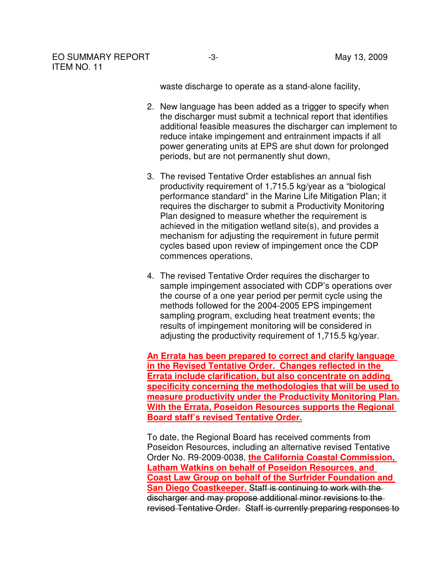waste discharge to operate as a stand-alone facility,

- 2. New language has been added as a trigger to specify when the discharger must submit a technical report that identifies additional feasible measures the discharger can implement to reduce intake impingement and entrainment impacts if all power generating units at EPS are shut down for prolonged periods, but are not permanently shut down,
- 3. The revised Tentative Order establishes an annual fish productivity requirement of 1,715.5 kg/year as a "biological performance standard" in the Marine Life Mitigation Plan; it requires the discharger to submit a Productivity Monitoring Plan designed to measure whether the requirement is achieved in the mitigation wetland site(s), and provides a mechanism for adjusting the requirement in future permit cycles based upon review of impingement once the CDP commences operations,
- 4. The revised Tentative Order requires the discharger to sample impingement associated with CDP's operations over the course of a one year period per permit cycle using the methods followed for the 2004-2005 EPS impingement sampling program, excluding heat treatment events; the results of impingement monitoring will be considered in adjusting the productivity requirement of 1,715.5 kg/year.

**An Errata has been prepared to correct and clarify language in the Revised Tentative Order. Changes reflected in the Errata include clarification, but also concentrate on adding specificity concerning the methodologies that will be used to measure productivity under the Productivity Monitoring Plan. With the Errata, Poseidon Resources supports the Regional Board staff's revised Tentative Order.**

To date, the Regional Board has received comments from Poseidon Resources, including an alternative revised Tentative Order No. R9-2009-0038, **the California Coastal Commission, Latham Watkins on behalf of Poseidon Resources**, **and Coast Law Group on behalf of the Surfrider Foundation and San Diego Coastkeeper.** Staff is continuing to work with the discharger and may propose additional minor revisions to the revised Tentative Order. Staff is currently preparing responses to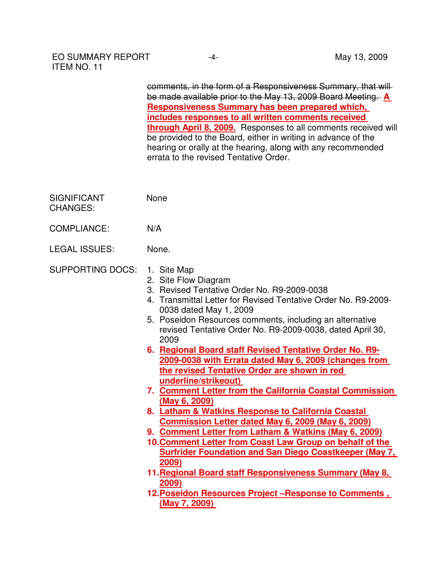comments, in the form of a Responsiveness Summary, that will be made available prior to the May 13, 2009 Board Meeting. **A Responsiveness Summary has been prepared which, includes responses to all written comments received through April 8, 2009.** Responses to all comments received will be provided to the Board, either in writing in advance of the hearing or orally at the hearing, along with any recommended errata to the revised Tentative Order.

| <b>SIGNIFICANT</b> | <b>None</b> |
|--------------------|-------------|
| <b>CHANGES:</b>    |             |

- COMPLIANCE: N/A
- LEGAL ISSUES: None.
- SUPPORTING DOCS: 1. Site Map
	- 2. Site Flow Diagram
	- 3. Revised Tentative Order No. R9-2009-0038
	- 4. Transmittal Letter for Revised Tentative Order No. R9-2009- 0038 dated May 1, 2009
	- 5. Poseidon Resources comments, including an alternative revised Tentative Order No. R9-2009-0038, dated April 30, 2009
	- **6. Regional Board staff Revised Tentative Order No. R9- 2009-0038 with Errata dated May 6, 2009 (changes from the revised Tentative Order are shown in red underline/strikeout)**
	- **7. Comment Letter from the California Coastal Commission (May 6, 2009)**
	- **8. Latham & Watkins Response to California Coastal Commission Letter dated May 6, 2009 (May 6, 2009)**
	- **9. Comment Letter from Latham & Watkins (May 6, 2009)**
	- **10. Comment Letter from Coast Law Group on behalf of the Surfrider Foundation and San Diego Coastkeeper (May 7, 2009)**
	- **11. Regional Board staff Responsiveness Summary (May 8, 2009)**
	- **12. Poseidon Resources Project –Response to Comments , (May 7, 2009)**